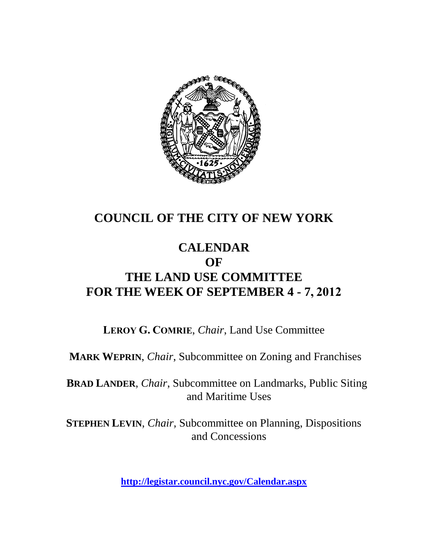

# **COUNCIL OF THE CITY OF NEW YORK**

# **CALENDAR OF THE LAND USE COMMITTEE FOR THE WEEK OF SEPTEMBER 4 - 7, 2012**

**LEROY G. COMRIE**, *Chair*, Land Use Committee

**MARK WEPRIN**, *Chair*, Subcommittee on Zoning and Franchises

**BRAD LANDER**, *Chair*, Subcommittee on Landmarks, Public Siting and Maritime Uses

**STEPHEN LEVIN**, *Chair,* Subcommittee on Planning, Dispositions and Concessions

**<http://legistar.council.nyc.gov/Calendar.aspx>**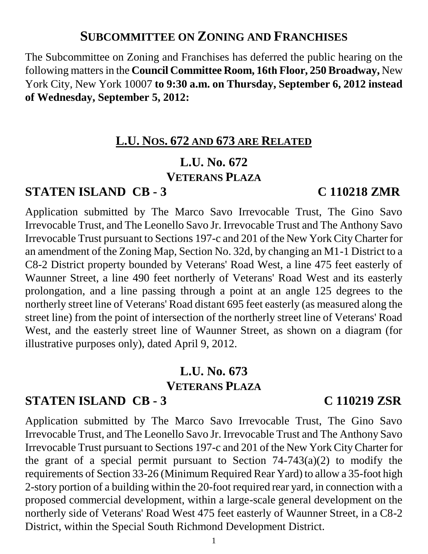# **SUBCOMMITTEE ON ZONING AND FRANCHISES**

The Subcommittee on Zoning and Franchises has deferred the public hearing on the following mattersin the **Council Committee Room, 16th Floor, 250 Broadway,** New York City, New York 10007 **to 9:30 a.m. on Thursday, September 6, 2012 instead of Wednesday, September 5, 2012:**

# **L.U. NOS. 672 AND 673 ARE RELATED**

### **L.U. No. 672 VETERANS PLAZA**

# **STATEN ISLAND CB - 3 C 110218 ZMR**

Application submitted by The Marco Savo Irrevocable Trust, The Gino Savo Irrevocable Trust, and The Leonello Savo Jr. Irrevocable Trust and The Anthony Savo Irrevocable Trust pursuant to Sections 197-c and 201 of the New York City Charter for an amendment of the Zoning Map, Section No. 32d, by changing an M1-1 District to a C8-2 District property bounded by Veterans' Road West, a line 475 feet easterly of Waunner Street, a line 490 feet northerly of Veterans' Road West and its easterly prolongation, and a line passing through a point at an angle 125 degrees to the northerly street line of Veterans' Road distant 695 feet easterly (as measured along the street line) from the point of intersection of the northerly street line of Veterans' Road West, and the easterly street line of Waunner Street, as shown on a diagram (for illustrative purposes only), dated April 9, 2012.

# **L.U. No. 673 VETERANS PLAZA**

# **STATEN ISLAND CB - 3 C 110219 ZSR**

Application submitted by The Marco Savo Irrevocable Trust, The Gino Savo Irrevocable Trust, and The Leonello Savo Jr. Irrevocable Trust and The Anthony Savo Irrevocable Trust pursuant to Sections 197-c and 201 of the New York City Charter for the grant of a special permit pursuant to Section  $74-743(a)(2)$  to modify the requirements of Section 33-26 (Minimum Required Rear Yard) to allow a 35-foot high 2-story portion of a building within the 20-foot required rear yard, in connection with a proposed commercial development, within a large-scale general development on the northerly side of Veterans' Road West 475 feet easterly of Waunner Street, in a C8-2 District, within the Special South Richmond Development District.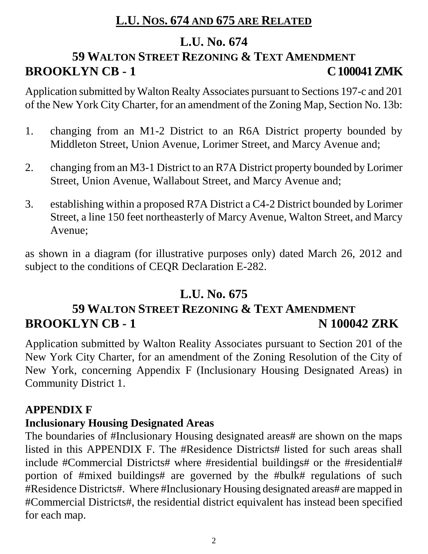# **L.U. NOS. 674 AND 675 ARE RELATED**

# **L.U. No. 674**

# **59 WALTON STREET REZONING & TEXT AMENDMENT BROOKLYN CB - 1 C 100041 ZMK**

Application submitted by Walton Realty Associates pursuant to Sections 197-c and 201 of the New York City Charter, for an amendment of the Zoning Map, Section No. 13b:

- 1. changing from an M1-2 District to an R6A District property bounded by Middleton Street, Union Avenue, Lorimer Street, and Marcy Avenue and;
- 2. changing from an M3-1 District to an R7A District property bounded by Lorimer Street, Union Avenue, Wallabout Street, and Marcy Avenue and;
- 3. establishing within a proposed R7A District a C4-2 District bounded by Lorimer Street, a line 150 feet northeasterly of Marcy Avenue, Walton Street, and Marcy Avenue;

as shown in a diagram (for illustrative purposes only) dated March 26, 2012 and subject to the conditions of CEQR Declaration E-282.

# **L.U. No. 675**

# **59 WALTON STREET REZONING & TEXT AMENDMENT BROOKLYN CB - 1** N 100042 ZRK

Application submitted by Walton Reality Associates pursuant to Section 201 of the New York City Charter, for an amendment of the Zoning Resolution of the City of New York, concerning Appendix F (Inclusionary Housing Designated Areas) in Community District 1.

### **APPENDIX F**

### **Inclusionary Housing Designated Areas**

The boundaries of #Inclusionary Housing designated areas# are shown on the maps listed in this APPENDIX F. The #Residence Districts# listed for such areas shall include #Commercial Districts# where #residential buildings# or the #residential# portion of #mixed buildings# are governed by the #bulk# regulations of such #Residence Districts#. Where #Inclusionary Housing designated areas# are mapped in #Commercial Districts#, the residential district equivalent has instead been specified for each map.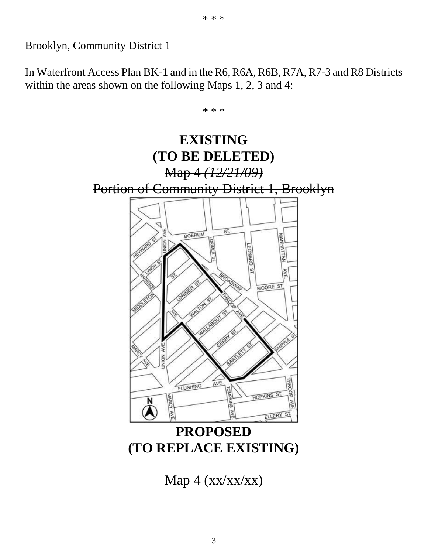Brooklyn, Community District 1

In Waterfront Access Plan BK-1 and in the R6, R6A, R6B, R7A, R7-3 and R8 Districts within the areas shown on the following Maps 1, 2, 3 and 4:

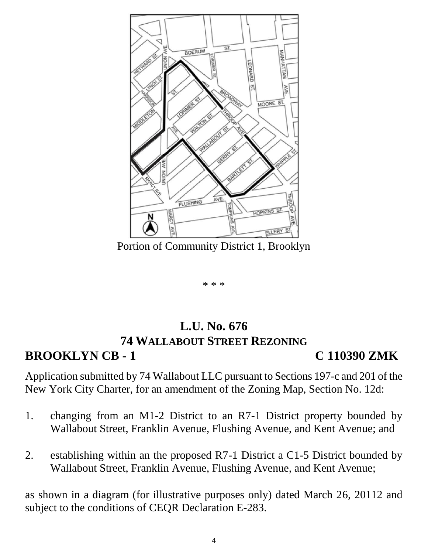

Portion of Community District 1, Brooklyn

\* \* \*

## **L.U. No. 676 74 WALLABOUT STREET REZONING BROOKLYN CB - 1 C 110390 ZMK**

Application submitted by 74 Wallabout LLC pursuant to Sections 197-c and 201 of the New York City Charter, for an amendment of the Zoning Map, Section No. 12d:

- 1. changing from an M1-2 District to an R7-1 District property bounded by Wallabout Street, Franklin Avenue, Flushing Avenue, and Kent Avenue; and
- 2. establishing within an the proposed R7-1 District a C1-5 District bounded by Wallabout Street, Franklin Avenue, Flushing Avenue, and Kent Avenue;

as shown in a diagram (for illustrative purposes only) dated March 26, 20112 and subject to the conditions of CEQR Declaration E-283.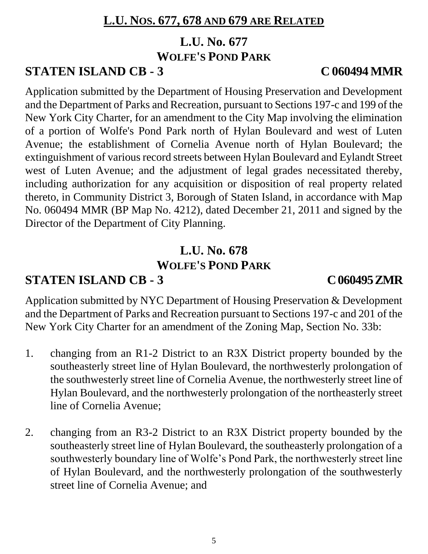# **L.U. NOS. 677, 678 AND 679 ARE RELATED**

# **L.U. No. 677 WOLFE'S POND PARK**

# **STATEN ISLAND CB - 3 C 060494 MMR**

Application submitted by the Department of Housing Preservation and Development and the Department of Parks and Recreation, pursuant to Sections 197-c and 199 of the New York City Charter, for an amendment to the City Map involving the elimination of a portion of Wolfe's Pond Park north of Hylan Boulevard and west of Luten Avenue; the establishment of Cornelia Avenue north of Hylan Boulevard; the extinguishment of various record streets between Hylan Boulevard and Eylandt Street west of Luten Avenue; and the adjustment of legal grades necessitated thereby, including authorization for any acquisition or disposition of real property related thereto, in Community District 3, Borough of Staten Island, in accordance with Map No. 060494 MMR (BP Map No. 4212), dated December 21, 2011 and signed by the Director of the Department of City Planning.

# **L.U. No. 678 WOLFE'S POND PARK**

# **STATEN ISLAND CB - 3 C 060495 ZMR**

Application submitted by NYC Department of Housing Preservation & Development and the Department of Parks and Recreation pursuant to Sections 197-c and 201 of the New York City Charter for an amendment of the Zoning Map, Section No. 33b:

- 1. changing from an R1-2 District to an R3X District property bounded by the southeasterly street line of Hylan Boulevard, the northwesterly prolongation of the southwesterly street line of Cornelia Avenue, the northwesterly street line of Hylan Boulevard, and the northwesterly prolongation of the northeasterly street line of Cornelia Avenue;
- 2. changing from an R3-2 District to an R3X District property bounded by the southeasterly street line of Hylan Boulevard, the southeasterly prolongation of a southwesterly boundary line of Wolfe's Pond Park, the northwesterly street line of Hylan Boulevard, and the northwesterly prolongation of the southwesterly street line of Cornelia Avenue; and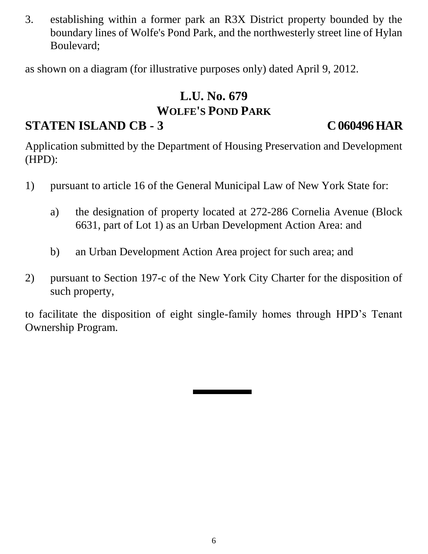3. establishing within a former park an R3X District property bounded by the boundary lines of Wolfe's Pond Park, and the northwesterly street line of Hylan Boulevard;

as shown on a diagram (for illustrative purposes only) dated April 9, 2012.

# **L.U. No. 679 WOLFE'S POND PARK**

# **STATEN ISLAND CB - 3 C 060496 HAR**

Application submitted by the Department of Housing Preservation and Development (HPD):

- 1) pursuant to article 16 of the General Municipal Law of New York State for:
	- a) the designation of property located at 272-286 Cornelia Avenue (Block 6631, part of Lot 1) as an Urban Development Action Area: and
	- b) an Urban Development Action Area project for such area; and
- 2) pursuant to Section 197-c of the New York City Charter for the disposition of such property,

to facilitate the disposition of eight single-family homes through HPD's Tenant Ownership Program.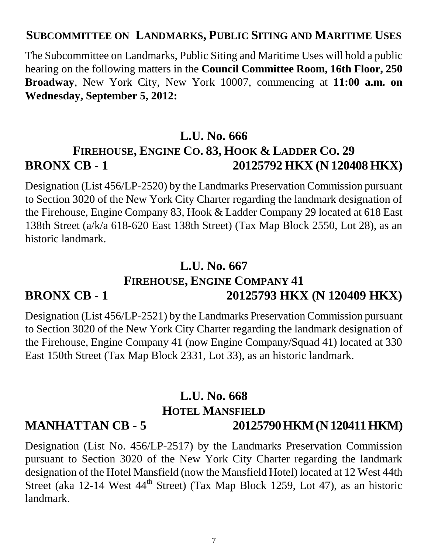### **SUBCOMMITTEE ON LANDMARKS, PUBLIC SITING AND MARITIME USES**

The Subcommittee on Landmarks, Public Siting and Maritime Uses will hold a public hearing on the following matters in the **Council Committee Room, 16th Floor, 250 Broadway**, New York City, New York 10007, commencing at **11:00 a.m. on Wednesday, September 5, 2012:**

### **L.U. No. 666**

# **FIREHOUSE, ENGINE CO. 83, HOOK & LADDER CO. 29 BRONX CB - 1 20125792 HKX (N 120408 HKX)**

Designation (List 456/LP-2520) by the Landmarks Preservation Commission pursuant to Section 3020 of the New York City Charter regarding the landmark designation of the Firehouse, Engine Company 83, Hook & Ladder Company 29 located at 618 East 138th Street (a/k/a 618-620 East 138th Street) (Tax Map Block 2550, Lot 28), as an historic landmark.

### **L.U. No. 667**

# **FIREHOUSE, ENGINE COMPANY 41 BRONX CB - 1 20125793 HKX (N 120409 HKX)**

Designation (List 456/LP-2521) by the Landmarks Preservation Commission pursuant to Section 3020 of the New York City Charter regarding the landmark designation of the Firehouse, Engine Company 41 (now Engine Company/Squad 41) located at 330 East 150th Street (Tax Map Block 2331, Lot 33), as an historic landmark.

# **L.U. No. 668 HOTEL MANSFIELD MANHATTAN CB - 5 20125790 HKM (N 120411 HKM)**

Designation (List No. 456/LP-2517) by the Landmarks Preservation Commission pursuant to Section 3020 of the New York City Charter regarding the landmark designation of the Hotel Mansfield (now the Mansfield Hotel) located at 12 West 44th Street (aka 12-14 West  $44<sup>th</sup>$  Street) (Tax Map Block 1259, Lot 47), as an historic landmark.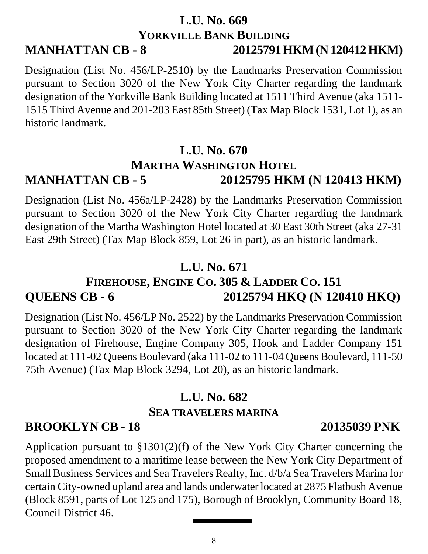### **L.U. No. 669 YORKVILLE BANK BUILDING MANHATTAN CB - 8 20125791 HKM (N 120412 HKM)**

Designation (List No. 456/LP-2510) by the Landmarks Preservation Commission pursuant to Section 3020 of the New York City Charter regarding the landmark designation of the Yorkville Bank Building located at 1511 Third Avenue (aka 1511- 1515 Third Avenue and 201-203 East 85th Street) (Tax Map Block 1531, Lot 1), as an historic landmark.

## **L.U. No. 670 MARTHA WASHINGTON HOTEL MANHATTAN CB - 5 20125795 HKM (N 120413 HKM)**

Designation (List No. 456a/LP-2428) by the Landmarks Preservation Commission pursuant to Section 3020 of the New York City Charter regarding the landmark designation of the Martha Washington Hotel located at 30 East 30th Street (aka 27-31 East 29th Street) (Tax Map Block 859, Lot 26 in part), as an historic landmark.

# **L.U. No. 671**

# **FIREHOUSE, ENGINE CO. 305 & LADDER CO. 151 QUEENS CB - 6 20125794 HKQ (N 120410 HKQ)**

Designation (List No. 456/LP No. 2522) by the Landmarks Preservation Commission pursuant to Section 3020 of the New York City Charter regarding the landmark designation of Firehouse, Engine Company 305, Hook and Ladder Company 151 located at 111-02 Queens Boulevard (aka 111-02 to 111-04 Queens Boulevard, 111-50 75th Avenue) (Tax Map Block 3294, Lot 20), as an historic landmark.

# **L.U. No. 682 SEA TRAVELERS MARINA**

# **BROOKLYN CB - 18 20135039 PNK**

Application pursuant to §1301(2)(f) of the New York City Charter concerning the proposed amendment to a maritime lease between the New York City Department of Small Business Services and Sea Travelers Realty, Inc. d/b/a Sea Travelers Marina for certain City-owned upland area and lands underwater located at 2875 Flatbush Avenue (Block 8591, parts of Lot 125 and 175), Borough of Brooklyn, Community Board 18, Council District 46.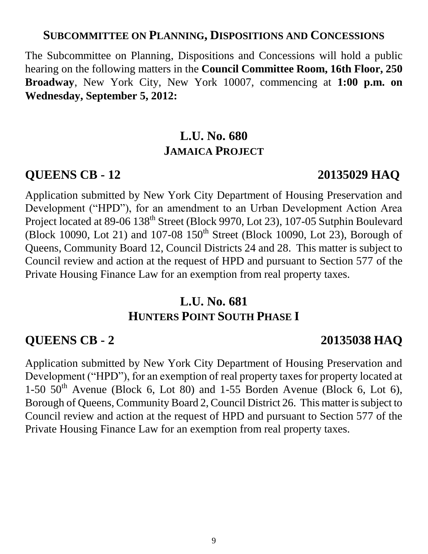## **SUBCOMMITTEE ON PLANNING, DISPOSITIONS AND CONCESSIONS**

The Subcommittee on Planning, Dispositions and Concessions will hold a public hearing on the following matters in the **Council Committee Room, 16th Floor, 250 Broadway**, New York City, New York 10007, commencing at **1:00 p.m. on Wednesday, September 5, 2012:**

# **L.U. No. 680 JAMAICA PROJECT**

### **QUEENS CB - 12 20135029 HAQ**

Application submitted by New York City Department of Housing Preservation and Development ("HPD"), for an amendment to an Urban Development Action Area Project located at 89-06 138<sup>th</sup> Street (Block 9970, Lot 23), 107-05 Sutphin Boulevard (Block 10090, Lot 21) and 107-08  $150^{th}$  Street (Block 10090, Lot 23), Borough of Queens, Community Board 12, Council Districts 24 and 28. This matter is subject to Council review and action at the request of HPD and pursuant to Section 577 of the Private Housing Finance Law for an exemption from real property taxes.

# **L.U. No. 681 HUNTERS POINT SOUTH PHASE I**

### **QUEENS CB - 2 20135038 HAQ**

Application submitted by New York City Department of Housing Preservation and Development ("HPD"), for an exemption of real property taxes for property located at 1-50  $50<sup>th</sup>$  Avenue (Block 6, Lot 80) and 1-55 Borden Avenue (Block 6, Lot 6), Borough of Queens, Community Board 2, Council District 26. This matter is subject to Council review and action at the request of HPD and pursuant to Section 577 of the Private Housing Finance Law for an exemption from real property taxes.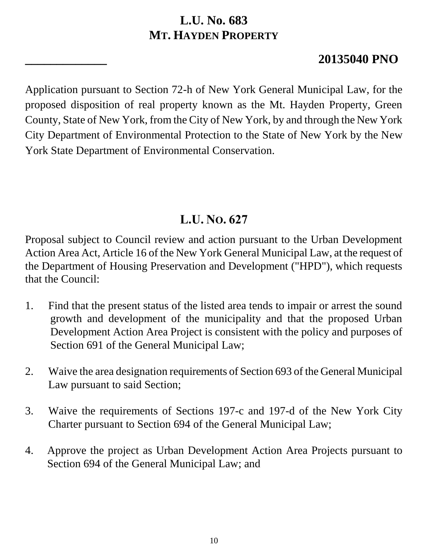# **L.U. No. 683 MT. HAYDEN PROPERTY**

# **\_\_\_\_\_\_\_\_\_\_\_\_\_ 20135040 PNO**

Application pursuant to Section 72-h of New York General Municipal Law, for the proposed disposition of real property known as the Mt. Hayden Property, Green County, State of New York, from the City of New York, by and through the New York City Department of Environmental Protection to the State of New York by the New York State Department of Environmental Conservation.

# **L.U. NO. 627**

Proposal subject to Council review and action pursuant to the Urban Development Action Area Act, Article 16 of the New York General Municipal Law, at the request of the Department of Housing Preservation and Development ("HPD"), which requests that the Council:

- 1. Find that the present status of the listed area tends to impair or arrest the sound growth and development of the municipality and that the proposed Urban Development Action Area Project is consistent with the policy and purposes of Section 691 of the General Municipal Law;
- 2. Waive the area designation requirements of Section 693 of the General Municipal Law pursuant to said Section;
- 3. Waive the requirements of Sections 197-c and 197-d of the New York City Charter pursuant to Section 694 of the General Municipal Law;
- 4. Approve the project as Urban Development Action Area Projects pursuant to Section 694 of the General Municipal Law; and